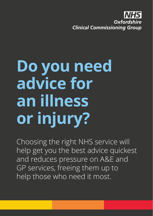Oxfordshire **Clinical Commissioning Group** 

# **Do you need advice for an illness or injury?**

Choosing the right NHS service will help get you the best advice quickest and reduces pressure on A&E and GP services, freeing them up to help those who need it most.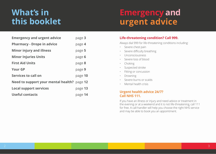### **What's in this booklet**

### **Emergency and urgent advice**

| <b>Emergency and urgent advice</b>          | page 3  |
|---------------------------------------------|---------|
| <b>Pharmacy - Drope in advice</b>           | page 4  |
| <b>Minor injury and illness</b>             | page 5  |
| <b>Minor Injuries Units</b>                 | page 6  |
| <b>First Aid Units</b>                      | page 8  |
| <b>Your GP</b>                              | page 9  |
| Services to call on                         | page 10 |
| Need to support your mental health? page 12 |         |
| <b>Local support services</b>               | page 13 |
| <b>Useful contacts</b>                      | page 14 |
|                                             |         |

#### **Life-threatening condition? Call 999.**

Always dial 999 for life-threatening conditions including:

- Severe chest pain
- Severe difficulty breathing
- Unconsciousness
- Severe loss of blood
- Choking
- Suspected stroke
- Fitting or concussion
- Drowning
- Severe burns or scalds
- Mental health crisis

#### **Urgent health advice 24/7? Call NHS 111.**

If you have an illness or injury and need advice or treatment in the evening or at a weekend and it is not life-threatening, call 111 for free. A call-handler will help you choose the right NHS service and may be able to book you an appointment.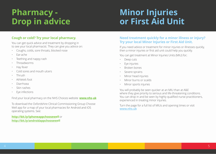### **Pharmacy - Drop in advice**

### **Minor Injuries or First Aid Unit**

#### **Cough or cold? Try your local pharmacy.**

You can get quick advice and treatment by dropping in to see your local pharmacist. They can give you advice on:

- Coughs, colds, sore throats, blocked nose
- Ear-ache
- Teething and nappy rash
- Threadworms
- Hay fever
- Cold sores and mouth ulcers
- Thrush
- Athlete's foot
- Diarrhoea
- Skin rashes
- Eye infections

Find your local pharmacy on the NHS Choices website **www.nhs.uk**

To download the Oxfordshire Clinical Commissioning Group Choose Well app for a map of your local pharmacies for Android and iOS operating systems. See:

**http://bit.ly/iphoneappchoosewell** or **http://bit.ly/androidappchoosewell**

#### **Need treatment quickly for a minor illness or injury? Try your local Minor Injuries or First Aid Unit.**

If you need advice or treatment for minor injuries or illnesses quickly, then a minor injuries or first aid unit could help you quickly.

You can get treatment at Minor Injuries Units (MIU) for;

- Deep cuts
- Eye injuries
- Broken bones
- Severe sprains
- Minor head injuries
- Minor burns or scalds
- Minor sports injuries

You will probably be seen quicker at an MIU than at A&E where they give priority to serious and life-threatening conditions. You can drop in and be seen by highly qualified nurse practitioners, experienced in treating minor injuries.

Turn the page for a full list of MIUs and opening times or visit **www.nhs.uk**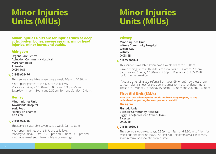## **Minor Injuries Units (MIUs)**

### **Minor Injuries Units (MIUs)**

**Minor Injuries Units are for injuries such as deep cuts, broken bones, severe sprains, minor head injuries, minor burns and scalds.** 

#### **Abingdon**

**Urgent Care Centre Abingdon Community Hospital Marcham Road Abingdon OX14 1AG**

#### **01865 903476**

This service is available seven days a week, 10am to 10.30pm.

X-ray opening times at this MIU are as follows: Monday to Friday – 10.00am -1.30pm and 2.30pm -5pm, Saturday – 11am-1.30pm and 2.30pm-5pm and Sunday 12-4pm.

#### **Henley**

**Minor Injuries Unit Townlands Hospital York Road Henley on Thames RG9 2EB**

#### **01865 903755**

This service is available seven days a week, 9am to 8pm.

X-ray opening times at this MIU are as follows: Monday to Friday – 9am – 12.30pm and 1.30pm – 4.30pm and is not open weekends, bank holidays or evenings

#### **Witney**

**Minor Injuries Unit Witney Community Hospital Welch Way Witney OX28 6JJ**

#### **01865 903841**

This service is available seven days a week, 10am to 10.30pm.

X-ray opening times at this MIU are as follows: 10.30am to 7.30pm. Saturday and Sunday 10.30am to 7.30pm. Please call 01865 903841. for further information.

If you are attending as a referral from your GP for an X-ray, please refer to your referral sheet for the opening times for the X-ray department. These are – Monday to Sunday 10.30am – 1.30pm and  $2.30$ pm – 5.30pm.

### **First Aid Unit (FAUs)**

**FAUs can treat minor injuries but do not have X-ray support, so ring beforehand as you may be seen quicker at an MIU.**

#### **Bicester**

**First Aid Unit Bicester Community Hospital Piggy Lane (access via Coker Close) Bicester OX26 6HT**

#### **01865 903976**

This service is open weekdays, 6.30pm to 11pm and 8.30am to 11pm for weekends and bank holidays. The First Aid Unit offers a walk-in service, so no referral or appointment required.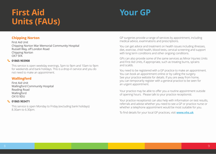## **First Aid Your GP Units (FAUs)**

#### **Chipping Norton**

First Aid Unit Chipping Norton War Memorial Community Hospital Russell Way, off London Road Chipping Norton OX7 5FA

#### **01865 903908**

This service is open weekday evenings, 5pm to 9pm and 10am to 9pm for weekends and bank holidays. This is a drop-in service and you do not need to make an appointment.

#### **Wallingford**

First Aid Unit Wallingford Community Hospital Reading Road Wallingford OX10 9DU

#### **01865 903471**

This service is open Monday to Friday (excluding bank holidays) 8.30am to 6.30pm.

GP surgeries provide a range of services by appointment, including medical advice, examinations and prescriptions.

You can get advice and treatment on health issues including illnesses, diet, exercise, child health, blood tests, cervical screening and support with long term conditions and other ongoing conditions.

GPs can also provide some of the same services as Minor Injuries Units and First Aid Units, if appropriate, such as treating burns, sprains and scalds.

You need to be registered with a GP practice to make an appointment. You can book an appointment online or by calling the surgery. See your practice website for details. If you are away from home, you can temporarliy register with a general practice to be seen for an urgent appointment.

Your practice may be able to offer you a routine appointment outside of opening hours. Please talk to your practice receptionist.

Your practice receptionist can also help with information on test results, referrals and advise whether you need to see a GP or practice nurse or whether a telephone appointment would be most suitable for you.

To find details for your local GP practices, visit **www.nhs.uk**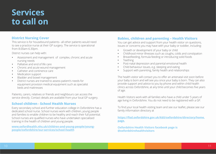### **Services to call on**

#### **District Nursing Cover**

This service is for housebound patients– all other patients would need to see a practice nurse at their GP surgery. The service is operational from 8.00am-6.30pm.

District nurses can help with:

- **•** Assessment and management of complex, chronic and acute nursing needs
- **•** Palliative and end of life care
- **•** Chronic and acute wound management
- **•** Catheter and continence care
- **•** Medication support
- **•** Bladder and bowel management
- **•** District nurses are trained to assess patient's needs for equipment provision medical equipment such as specialist beds and mattresses

Patients, carers, relatives or friends and neighbours can access the service directly. Contact details are available from your local GP surgery.

#### **School children - School Health Nurses**

Every secondary school and further education college in Oxfordshire has a dedicated school nurse. School nurses work with children, young people and families to enable children to be healthy and reach their full potential. School nurses are qualified nurses who have undertaken specialised training in the health of children and young people.

**www.oxfordhealth.nhs.uk/children-and-young-people/youngpeople/oxfordshire/our-services/school-health**

#### **Babies, children and parenting – Health Visitors**

You can get advice and support from your health visitor on questions, issues or concerns you may have with your baby or toddler, including:

- Growth or development of your baby or child
- **•** Childhood minor illnesses such as coughs, colds and constipation
- **•** Breastfeeding, formula feeding or introducing solid foods
- **•** Teething
- **•** Post-natal depression and parental emotional health
- **•** Child behaviour issues, e.g. sleeping and eating
- **•** Support with parenting, family health and relationships

The health visitor will contact you to offer an antenatal visit soon before your baby is born and will see you once your baby is born. They can also provide support and advice to you by phone and within child health clinics across Oxfordshire, at any time until your child becomes five years of age.

Health Visitors work with all families who have a child under 5 years of age living in Oxfordshire. You do not need to be registered with a GP.

To find your local health visiting team and see our leaflet, please see our family information directory at

**https://fisd.oxfordshire.gov.uk/kb5/oxfordshire/directory/home. page.** 

**Oxfordshire Health Visitors facebook page is @oxfordshirehealthvisitors**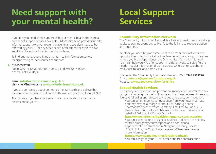### **Need support with your mental health?**

### **Local Support Services**

If you feel you need some support with your mental health, there are a number of support services available. Oxfordshire Mind provides friendly, informal support to anyone over the age 16 and you don't need to be referred by your GP (or any other health professional) or even to have an official diagnosis of mental health problems.

To find out more, phone Mind's mental health information service for signposting to local sources of support.

#### **01865 247788**

(open 9.30 - 4.30 Monday to Thursday, Friday 9.30 - 4.00pm closed Bank Holidays)

#### **email info@oxfordshiremind.org.uk** or **visit the Mind website www.oxfordshiremind.org.uk**

If you are concerned about someone's mental health and believe that they are at immediate risk of harm to themselves or others then call 999.

Alternatively, if you have concerns or want advice about your mental health contact your GP.

#### **Community Information Network**

The Community Information Network is a free information service to help adults to stay independent, to live life to the full and to reduce isolation and loneliness.

Whether you need help at home, want to discover local activities and opportunities or to find out about welfare benefits and support services to help you live independently, the Community Information Network Team can help you. We offer support in different ways to suit different needs - regular information drop-ins across Oxfordshire, telephone, email, face to face and home visits.

To contact the Community Information Network: **Tel: 0345 4501276** Email: **network@ageukoxfordshire.org.uk** Website: **www.ageuk.org.uk/oxfordshire**

#### **Sexual Health Services**

Emergency contraception can prevent pregnancy after unprotected sex or if your contraceptive method has failed. You have between three and five days following unprotected sex to get emergency contraception.

• You can get emergency contraception from your local Pharmacy and they may be a charge of about £25. Although some Pharmacists offer the 'morning after pill' for Free to under 21's. Please check out the list of pharmacists that offer this service on behalf of Oxfordshire County Council -

#### **http://oxme.info/cms/health/emergency-contraception**

**•** You can also go to one of eight sexual health clinics in the county for free emergency contraception and a confidential appointment. The clinics are in Abingdon, Banbury, Bicester, Didcot, Kidlington, Oxford, Wantage and Witney, see here for more information:

#### **https://www.sexualhealthoxfordshire.nhs.uk**

**•** You can also go to your GP for advice and free contraception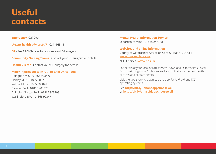### **Useful contacts**

#### **Emergency**-Call 999

**Urgent health advice 24/7** - Call NHS 111

**GP** - See NHS Choices for your nearest GP surgery

**Community Nursing Teams** - Contact your GP surgery for details

**Health Visitor** - Contact your GP surgery for details

#### **Minor Injuries Units (MIU)/First Aid Units (FAU)**

Abingdon MIU - 01865 903476 Witney MIU - 01865 903841 Bicester FAU - 01865 903976 Chipping Norton FAU - 01865 903908  $M$ elling fault - 01865 903471  $\frac{1}{\sqrt{2}}$ 

**Mental Health Information Service** Oxfordshire Mind - 01865 247788

**Websites and online information** County of Oxfordshire Advice on Care & Health (COACH)  **www.my-coach.org.uk**

NHS Choices -**www.nhs.uk** 

For details of your local health services, download Oxfordshire Clinical Commissioning Group's Choose Well app to find your nearest health services and contact details

Visit the app store to download the app for Android and iOS operating systems.

See **http://bit.ly/iphoneappchoosewell**  or **http://bit.ly/androidappchoosewell**